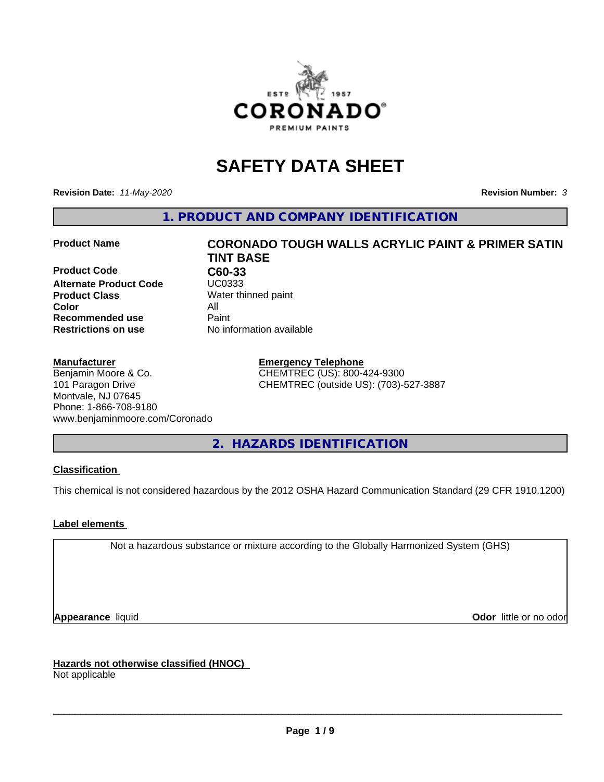

# **SAFETY DATA SHEET**

**Revision Date:** *11-May-2020* **Revision Number:** *3*

**1. PRODUCT AND COMPANY IDENTIFICATION**

**Product Code C60-33**<br> **Alternate Product Code** UC0333 **Alternate Product Code Product Class** Water thinned paint<br> **Color** All **Color** All **Recommended use** Paint<br> **Restrictions on use** Mo information available **Restrictions on use** 

#### **Manufacturer**

Benjamin Moore & Co. 101 Paragon Drive Montvale, NJ 07645 Phone: 1-866-708-9180 www.benjaminmoore.com/Coronado

# **Product Name CORONADO TOUGH WALLS ACRYLIC PAINT & PRIMER SATIN TINT BASE**

**Emergency Telephone** CHEMTREC (US): 800-424-9300 CHEMTREC (outside US): (703)-527-3887

**2. HAZARDS IDENTIFICATION**

### **Classification**

This chemical is not considered hazardous by the 2012 OSHA Hazard Communication Standard (29 CFR 1910.1200)

### **Label elements**

Not a hazardous substance or mixture according to the Globally Harmonized System (GHS)

**Appearance** liquid **Contract Contract Contract Contract Contract Contract Contract Contract Contract Contract Contract Contract Contract Contract Contract Contract Contract Contract Contract Contract Contract Contract Con** 

**Hazards not otherwise classified (HNOC)**

Not applicable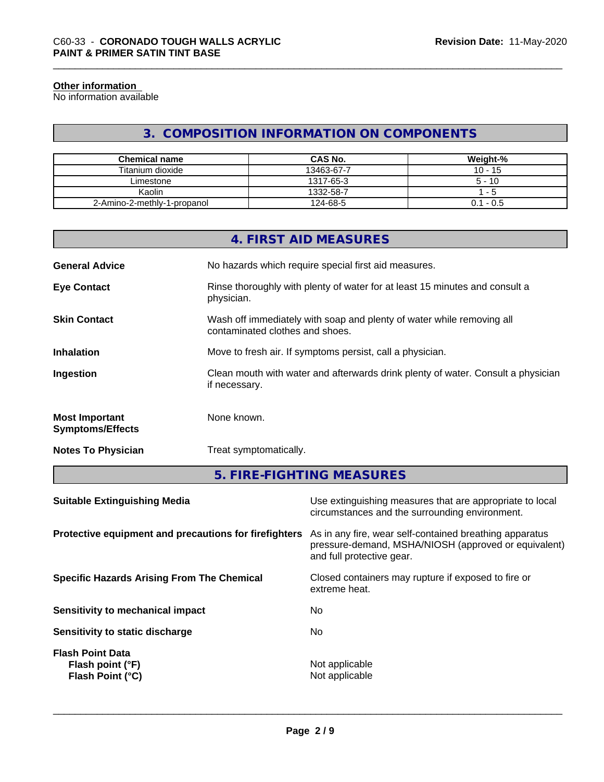#### **Other information**

No information available

# **3. COMPOSITION INFORMATION ON COMPONENTS**

| <b>Chemical name</b>        | <b>CAS No.</b> | Weight-%    |
|-----------------------------|----------------|-------------|
| Titanium dioxide            | 13463-67-7     | $10 - 15$   |
| ∟imestone                   | 1317-65-3      | $5 - 10$    |
| Kaolin                      | 1332-58-7      | - 5         |
| 2-Amino-2-methly-1-propanol | 124-68-5       | $0.1 - 0.5$ |

|                                                  | 4. FIRST AID MEASURES                                                                                    |
|--------------------------------------------------|----------------------------------------------------------------------------------------------------------|
| <b>General Advice</b>                            | No hazards which require special first aid measures.                                                     |
| <b>Eye Contact</b>                               | Rinse thoroughly with plenty of water for at least 15 minutes and consult a<br>physician.                |
| <b>Skin Contact</b>                              | Wash off immediately with soap and plenty of water while removing all<br>contaminated clothes and shoes. |
| <b>Inhalation</b>                                | Move to fresh air. If symptoms persist, call a physician.                                                |
| Ingestion                                        | Clean mouth with water and afterwards drink plenty of water. Consult a physician<br>if necessary.        |
| <b>Most Important</b><br><b>Symptoms/Effects</b> | None known.                                                                                              |
| <b>Notes To Physician</b>                        | Treat symptomatically.                                                                                   |

**5. FIRE-FIGHTING MEASURES**

| <b>Suitable Extinguishing Media</b>                             | Use extinguishing measures that are appropriate to local<br>circumstances and the surrounding environment.                                   |
|-----------------------------------------------------------------|----------------------------------------------------------------------------------------------------------------------------------------------|
| Protective equipment and precautions for firefighters           | As in any fire, wear self-contained breathing apparatus<br>pressure-demand, MSHA/NIOSH (approved or equivalent)<br>and full protective gear. |
| <b>Specific Hazards Arising From The Chemical</b>               | Closed containers may rupture if exposed to fire or<br>extreme heat.                                                                         |
| Sensitivity to mechanical impact                                | No.                                                                                                                                          |
| Sensitivity to static discharge                                 | No.                                                                                                                                          |
| <b>Flash Point Data</b><br>Flash point (°F)<br>Flash Point (°C) | Not applicable<br>Not applicable                                                                                                             |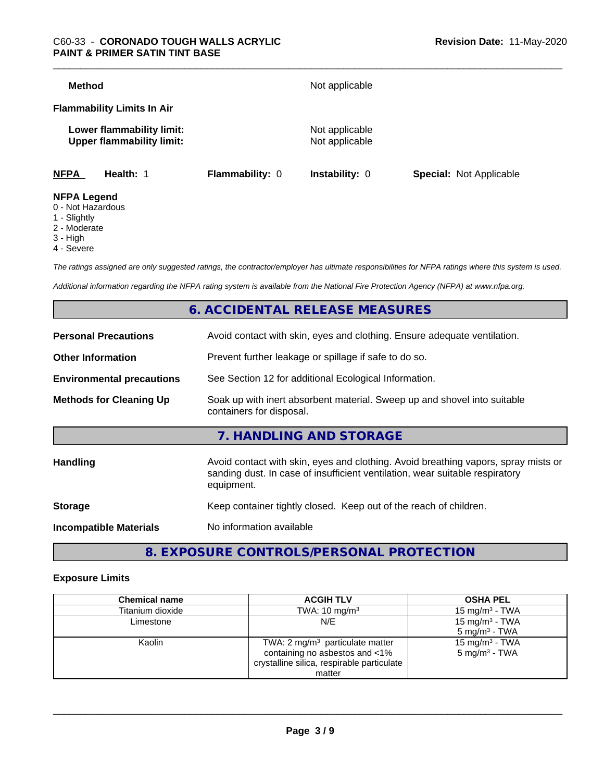| <b>Method</b>                                                 |                        | Not applicable                   |                                |
|---------------------------------------------------------------|------------------------|----------------------------------|--------------------------------|
| <b>Flammability Limits In Air</b>                             |                        |                                  |                                |
| Lower flammability limit:<br><b>Upper flammability limit:</b> |                        | Not applicable<br>Not applicable |                                |
| <b>NFPA</b><br>Health: 1                                      | <b>Flammability: 0</b> | <b>Instability: 0</b>            | <b>Special: Not Applicable</b> |
| <b>NFPA Legend</b><br>0 - Not Hazardous                       |                        |                                  |                                |

- 
- 1 Slightly
- 2 Moderate
- 3 High
- 4 Severe

*The ratings assigned are only suggested ratings, the contractor/employer has ultimate responsibilities for NFPA ratings where this system is used.*

*Additional information regarding the NFPA rating system is available from the National Fire Protection Agency (NFPA) at www.nfpa.org.*

# **6. ACCIDENTAL RELEASE MEASURES**

| <b>Personal Precautions</b>      | Avoid contact with skin, eyes and clothing. Ensure adequate ventilation.                                                                                                         |
|----------------------------------|----------------------------------------------------------------------------------------------------------------------------------------------------------------------------------|
| <b>Other Information</b>         | Prevent further leakage or spillage if safe to do so.                                                                                                                            |
| <b>Environmental precautions</b> | See Section 12 for additional Ecological Information.                                                                                                                            |
| <b>Methods for Cleaning Up</b>   | Soak up with inert absorbent material. Sweep up and shovel into suitable<br>containers for disposal.                                                                             |
|                                  | 7. HANDLING AND STORAGE                                                                                                                                                          |
| Handling                         | Avoid contact with skin, eyes and clothing. Avoid breathing vapors, spray mists or<br>sanding dust. In case of insufficient ventilation, wear suitable respiratory<br>equipment. |
| <b>Storage</b>                   | Keep container tightly closed. Keep out of the reach of children.                                                                                                                |
| <b>Incompatible Materials</b>    | No information available                                                                                                                                                         |
|                                  |                                                                                                                                                                                  |

# **8. EXPOSURE CONTROLS/PERSONAL PROTECTION**

#### **Exposure Limits**

| <b>Chemical name</b> | <b>ACGIH TLV</b>                                                                                                  | <b>OSHA PEL</b>                                        |
|----------------------|-------------------------------------------------------------------------------------------------------------------|--------------------------------------------------------|
| Titanium dioxide     | TWA: $10 \text{ mg/m}^3$                                                                                          | 15 mg/m $3$ - TWA                                      |
| Limestone            | N/E                                                                                                               | 15 mg/m <sup>3</sup> - TWA<br>$5 \text{ mg/m}^3$ - TWA |
| Kaolin               | TWA: 2 $mg/m3$ particulate matter<br>containing no asbestos and <1%<br>crystalline silica, respirable particulate | 15 mg/m <sup>3</sup> - TWA<br>$5 \text{ mg/m}^3$ - TWA |
|                      | matter                                                                                                            |                                                        |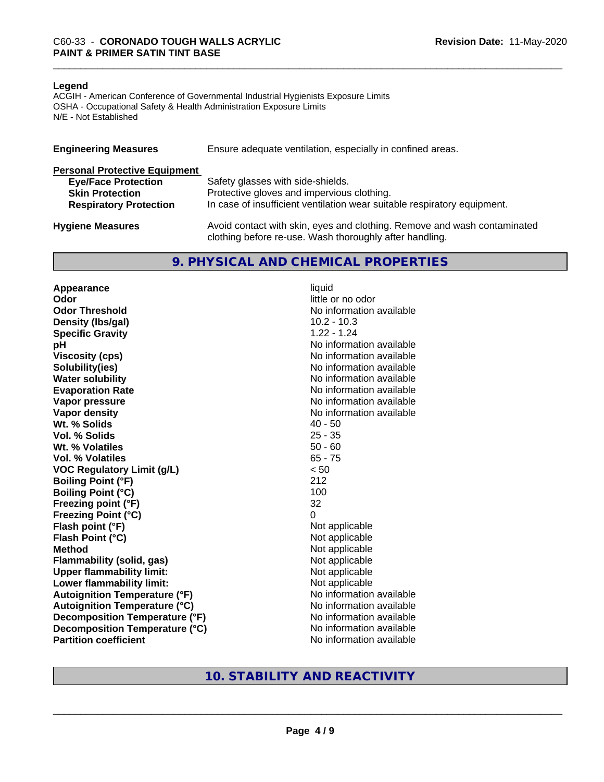#### **Legend**

ACGIH - American Conference of Governmental Industrial Hygienists Exposure Limits OSHA - Occupational Safety & Health Administration Exposure Limits N/E - Not Established

| <b>Engineering Measures</b>          | Ensure adequate ventilation, especially in confined areas.                                                                          |
|--------------------------------------|-------------------------------------------------------------------------------------------------------------------------------------|
| <b>Personal Protective Equipment</b> |                                                                                                                                     |
| <b>Eye/Face Protection</b>           | Safety glasses with side-shields.                                                                                                   |
| <b>Skin Protection</b>               | Protective gloves and impervious clothing.                                                                                          |
| <b>Respiratory Protection</b>        | In case of insufficient ventilation wear suitable respiratory equipment.                                                            |
| <b>Hygiene Measures</b>              | Avoid contact with skin, eyes and clothing. Remove and wash contaminated<br>clothing before re-use. Wash thoroughly after handling. |

#### **9. PHYSICAL AND CHEMICAL PROPERTIES**

**Appearance** liquid **Odor** little or no odor **Odor Threshold No information available No information available Density (lbs/gal)** 10.2 - 10.3 **Specific Gravity** 1.22 - 1.24 **pH pH**  $\blacksquare$ **Viscosity (cps)** No information available **Solubility(ies)** No information available **Water solubility** No information available **Evaporation Rate No information available No information available Vapor pressure** No information available **No information available Vapor density**<br> **We Solids** (*We Solids* (*We Solids* (*We Solids* (*Me )* (*A)* (*A)* (*A)* (*A)* (*A)* (*A)* (*A)* (*A)* (*A)* (*A)* (*A)* (*A)* (*A)* (*A)* (*A)* (*A)* (*A)* (*A)* (*A)* (*A)* (*A)* (*A)* (*A)* (*A)* ( **Wt. % Solids Vol. % Solids** 25 - 35 **Wt. % Volatiles** 50 - 60 **Vol. % Volatiles** 65 - 75 **VOC Regulatory Limit (g/L)** < 50 **Boiling Point (°F)** 212 **Boiling Point (°C)** 100 **Freezing point (°F)** 32 **Freezing Point (°C)** 0 **Flash point (°F)**<br> **Flash Point (°C)**<br> **Flash Point (°C)**<br> **C Flash Point (°C)**<br>Method **Flammability (solid, gas)**<br> **Upper flammability limit:** Not applicable Not applicable **Upper flammability limit:**<br> **Lower flammability limit:** Not applicable Not applicable **Lower flammability limit: Autoignition Temperature (°F)** No information available **Autoignition Temperature (°C)** No information available **Decomposition Temperature (°F)** No information available **Decomposition Temperature (°C)** No information available **Partition coefficient** No information available

**Not applicable**<br>Not applicable

## **10. STABILITY AND REACTIVITY**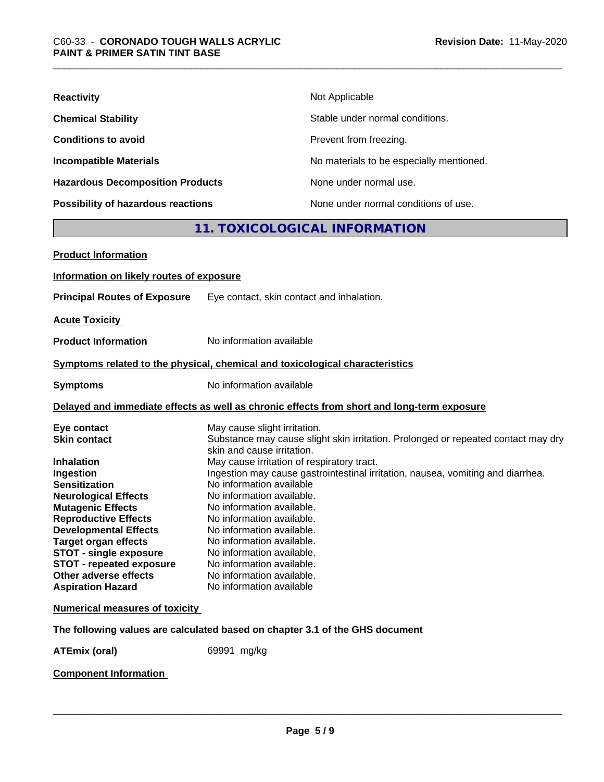| <b>Reactivity</b>                         | Not Applicable                           |
|-------------------------------------------|------------------------------------------|
| <b>Chemical Stability</b>                 | Stable under normal conditions.          |
| <b>Conditions to avoid</b>                | Prevent from freezing.                   |
| <b>Incompatible Materials</b>             | No materials to be especially mentioned. |
| <b>Hazardous Decomposition Products</b>   | None under normal use.                   |
| <b>Possibility of hazardous reactions</b> | None under normal conditions of use.     |

# **11. TOXICOLOGICAL INFORMATION**

| <b>Product Information</b>                                                                                                                                                                                                                                                                                                                                              |                                                                                                                                                                                                                                                                                                                                                                                                                                                                                                                                                                                  |
|-------------------------------------------------------------------------------------------------------------------------------------------------------------------------------------------------------------------------------------------------------------------------------------------------------------------------------------------------------------------------|----------------------------------------------------------------------------------------------------------------------------------------------------------------------------------------------------------------------------------------------------------------------------------------------------------------------------------------------------------------------------------------------------------------------------------------------------------------------------------------------------------------------------------------------------------------------------------|
| Information on likely routes of exposure                                                                                                                                                                                                                                                                                                                                |                                                                                                                                                                                                                                                                                                                                                                                                                                                                                                                                                                                  |
| <b>Principal Routes of Exposure</b>                                                                                                                                                                                                                                                                                                                                     | Eye contact, skin contact and inhalation.                                                                                                                                                                                                                                                                                                                                                                                                                                                                                                                                        |
| <b>Acute Toxicity</b>                                                                                                                                                                                                                                                                                                                                                   |                                                                                                                                                                                                                                                                                                                                                                                                                                                                                                                                                                                  |
| <b>Product Information</b>                                                                                                                                                                                                                                                                                                                                              | No information available                                                                                                                                                                                                                                                                                                                                                                                                                                                                                                                                                         |
|                                                                                                                                                                                                                                                                                                                                                                         | Symptoms related to the physical, chemical and toxicological characteristics                                                                                                                                                                                                                                                                                                                                                                                                                                                                                                     |
| <b>Symptoms</b>                                                                                                                                                                                                                                                                                                                                                         | No information available                                                                                                                                                                                                                                                                                                                                                                                                                                                                                                                                                         |
|                                                                                                                                                                                                                                                                                                                                                                         | Delayed and immediate effects as well as chronic effects from short and long-term exposure                                                                                                                                                                                                                                                                                                                                                                                                                                                                                       |
| Eye contact<br><b>Skin contact</b><br><b>Inhalation</b><br>Ingestion<br><b>Sensitization</b><br><b>Neurological Effects</b><br><b>Mutagenic Effects</b><br><b>Reproductive Effects</b><br><b>Developmental Effects</b><br><b>Target organ effects</b><br><b>STOT - single exposure</b><br>STOT - repeated exposure<br>Other adverse effects<br><b>Aspiration Hazard</b> | May cause slight irritation.<br>Substance may cause slight skin irritation. Prolonged or repeated contact may dry<br>skin and cause irritation.<br>May cause irritation of respiratory tract.<br>Ingestion may cause gastrointestinal irritation, nausea, vomiting and diarrhea.<br>No information available<br>No information available.<br>No information available.<br>No information available.<br>No information available.<br>No information available.<br>No information available.<br>No information available.<br>No information available.<br>No information available |
| <b>Numerical measures of toxicity</b>                                                                                                                                                                                                                                                                                                                                   |                                                                                                                                                                                                                                                                                                                                                                                                                                                                                                                                                                                  |
|                                                                                                                                                                                                                                                                                                                                                                         | The following values are calculated based on chapter 3.1 of the GHS document                                                                                                                                                                                                                                                                                                                                                                                                                                                                                                     |
| <b>ATEmix (oral)</b>                                                                                                                                                                                                                                                                                                                                                    | 69991 mg/kg                                                                                                                                                                                                                                                                                                                                                                                                                                                                                                                                                                      |

**Component Information**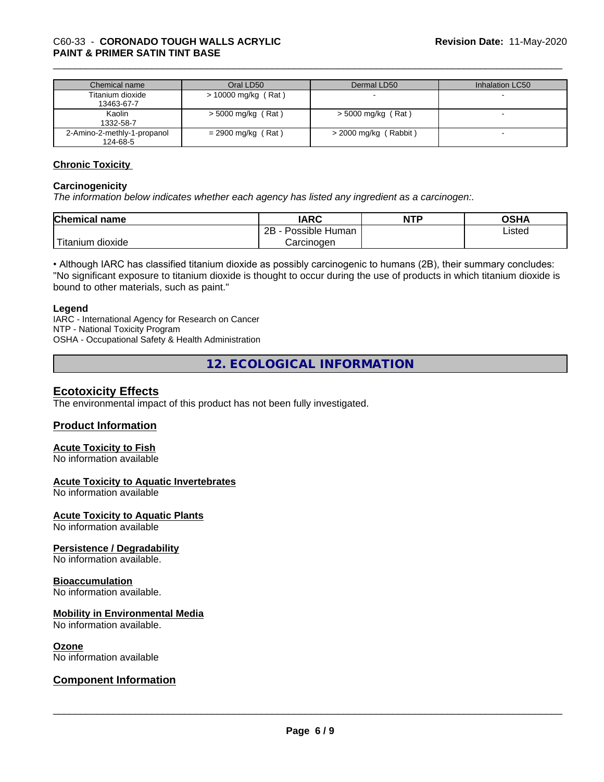| Chemical name               | Oral LD50            | Dermal LD50           | Inhalation LC50 |
|-----------------------------|----------------------|-----------------------|-----------------|
| Titanium dioxide            | > 10000 mg/kg (Rat)  |                       |                 |
| 13463-67-7                  |                      |                       |                 |
| Kaolin                      | $>$ 5000 mg/kg (Rat) | > 5000 mg/kg (Rat)    |                 |
| 1332-58-7                   |                      |                       |                 |
| 2-Amino-2-methly-1-propanol | $= 2900$ mg/kg (Rat) | > 2000 mg/kg (Rabbit) |                 |
| 124-68-5                    |                      |                       |                 |

#### **Chronic Toxicity**

#### **Carcinogenicity**

*The information below indicateswhether each agency has listed any ingredient as a carcinogen:.*

| <b>Chemical</b><br>name | <b>IARC</b>                  | <b>NTP</b> | <b>OSHA</b> |
|-------------------------|------------------------------|------------|-------------|
|                         | .<br>2B<br>Possible<br>Human |            | ∟isted      |
| n dioxide<br>l itanıum  | Carcinoɑen                   |            |             |

• Although IARC has classified titanium dioxide as possibly carcinogenic to humans (2B), their summary concludes: "No significant exposure to titanium dioxide is thought to occur during the use of products in which titanium dioxide is bound to other materials, such as paint."

#### **Legend**

IARC - International Agency for Research on Cancer NTP - National Toxicity Program OSHA - Occupational Safety & Health Administration

**12. ECOLOGICAL INFORMATION**

#### **Ecotoxicity Effects**

The environmental impact of this product has not been fully investigated.

#### **Product Information**

# **Acute Toxicity to Fish**

No information available

#### **Acute Toxicity to Aquatic Invertebrates**

No information available

**Acute Toxicity to Aquatic Plants**

No information available

#### **Persistence / Degradability**

No information available.

#### **Bioaccumulation**

No information available.

#### **Mobility in Environmental Media**

No information available.

#### **Ozone**

No information available

### **Component Information**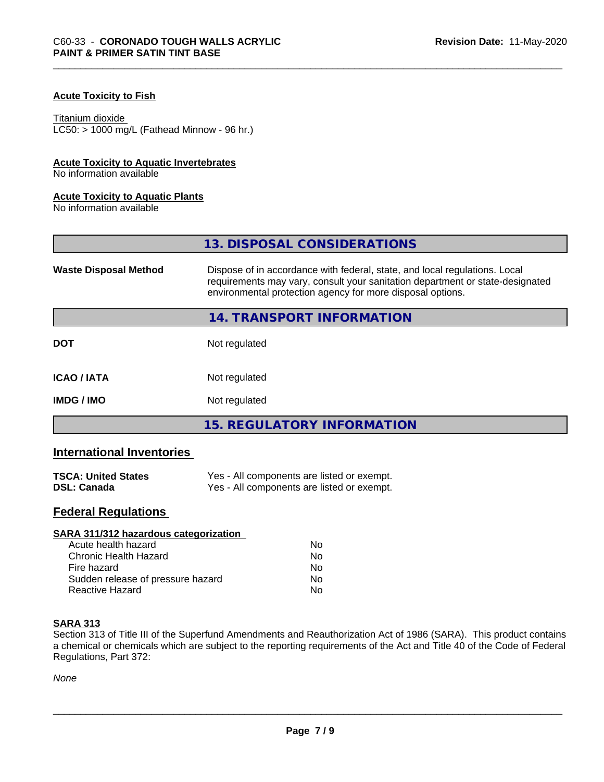### **Acute Toxicity to Fish**

#### Titanium dioxide

 $LC50:$  > 1000 mg/L (Fathead Minnow - 96 hr.)

#### **Acute Toxicity to Aquatic Invertebrates**

No information available

#### **Acute Toxicity to Aquatic Plants**

No information available

|                              | 13. DISPOSAL CONSIDERATIONS                                                                                                                                                                                               |
|------------------------------|---------------------------------------------------------------------------------------------------------------------------------------------------------------------------------------------------------------------------|
| <b>Waste Disposal Method</b> | Dispose of in accordance with federal, state, and local regulations. Local<br>requirements may vary, consult your sanitation department or state-designated<br>environmental protection agency for more disposal options. |
|                              | 14. TRANSPORT INFORMATION                                                                                                                                                                                                 |
| <b>DOT</b>                   | Not regulated                                                                                                                                                                                                             |
| <b>ICAO/IATA</b>             | Not regulated                                                                                                                                                                                                             |
| <b>IMDG / IMO</b>            | Not regulated                                                                                                                                                                                                             |
|                              | <b>15. REGULATORY INFORMATION</b>                                                                                                                                                                                         |

# **International Inventories**

| <b>TSCA: United States</b> | Yes - All components are listed or exempt. |
|----------------------------|--------------------------------------------|
| <b>DSL: Canada</b>         | Yes - All components are listed or exempt. |

# **Federal Regulations**

| Nο |  |
|----|--|
| Nο |  |
| Nο |  |
| No |  |
| No |  |
|    |  |

#### **SARA 313**

Section 313 of Title III of the Superfund Amendments and Reauthorization Act of 1986 (SARA). This product contains a chemical or chemicals which are subject to the reporting requirements of the Act and Title 40 of the Code of Federal Regulations, Part 372:

*None*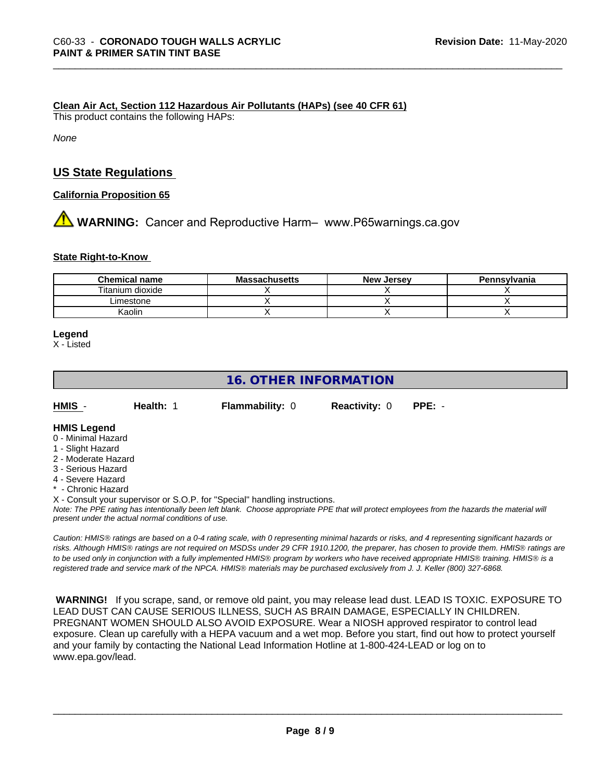#### **Clean Air Act,Section 112 Hazardous Air Pollutants (HAPs) (see 40 CFR 61)**

This product contains the following HAPs:

*None*

## **US State Regulations**

**California Proposition 65**

# **A** WARNING: Cancer and Reproductive Harm– www.P65warnings.ca.gov

#### **State Right-to-Know**

| <b>Chemical name</b> | <b>Massachusetts</b> | <b>New Jersey</b> | Pennsvlvania |
|----------------------|----------------------|-------------------|--------------|
| Titanium dioxide     |                      |                   |              |
| ∟imestone            |                      |                   |              |
| <b>Kaolir</b>        |                      |                   |              |

#### **Legend**

X - Listed

# **16. OTHER INFORMATION**

| HMIS | <b>Health: 1</b> | <b>Flammability: 0</b> | <b>Reactivity: 0</b> | PPE: - |
|------|------------------|------------------------|----------------------|--------|
|      |                  |                        |                      |        |

#### **HMIS Legend**

- 0 Minimal Hazard
- 1 Slight Hazard
- 2 Moderate Hazard
- 3 Serious Hazard
- 4 Severe Hazard
- \* Chronic Hazard
- X Consult your supervisor or S.O.P. for "Special" handling instructions.

*Note: The PPE rating has intentionally been left blank. Choose appropriate PPE that will protect employees from the hazards the material will present under the actual normal conditions of use.*

*Caution: HMISÒ ratings are based on a 0-4 rating scale, with 0 representing minimal hazards or risks, and 4 representing significant hazards or risks. Although HMISÒ ratings are not required on MSDSs under 29 CFR 1910.1200, the preparer, has chosen to provide them. HMISÒ ratings are to be used only in conjunction with a fully implemented HMISÒ program by workers who have received appropriate HMISÒ training. HMISÒ is a registered trade and service mark of the NPCA. HMISÒ materials may be purchased exclusively from J. J. Keller (800) 327-6868.*

 **WARNING!** If you scrape, sand, or remove old paint, you may release lead dust. LEAD IS TOXIC. EXPOSURE TO LEAD DUST CAN CAUSE SERIOUS ILLNESS, SUCH AS BRAIN DAMAGE, ESPECIALLY IN CHILDREN. PREGNANT WOMEN SHOULD ALSO AVOID EXPOSURE.Wear a NIOSH approved respirator to control lead exposure. Clean up carefully with a HEPA vacuum and a wet mop. Before you start, find out how to protect yourself and your family by contacting the National Lead Information Hotline at 1-800-424-LEAD or log on to www.epa.gov/lead.